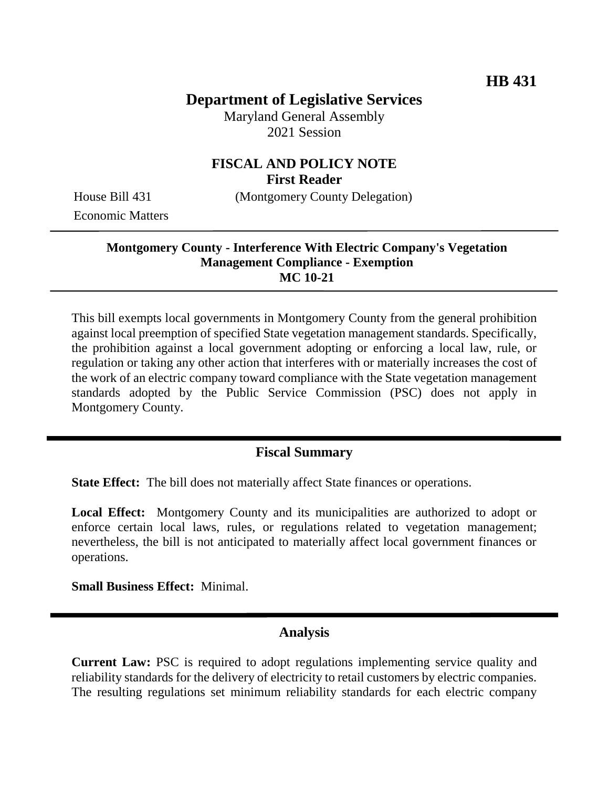# **Department of Legislative Services**

Maryland General Assembly 2021 Session

### **FISCAL AND POLICY NOTE First Reader**

House Bill 431 (Montgomery County Delegation)

Economic Matters

#### **Montgomery County - Interference With Electric Company's Vegetation Management Compliance - Exemption MC 10-21**

This bill exempts local governments in Montgomery County from the general prohibition against local preemption of specified State vegetation management standards. Specifically, the prohibition against a local government adopting or enforcing a local law, rule, or regulation or taking any other action that interferes with or materially increases the cost of the work of an electric company toward compliance with the State vegetation management standards adopted by the Public Service Commission (PSC) does not apply in Montgomery County.

# **Fiscal Summary**

**State Effect:** The bill does not materially affect State finances or operations.

**Local Effect:** Montgomery County and its municipalities are authorized to adopt or enforce certain local laws, rules, or regulations related to vegetation management; nevertheless, the bill is not anticipated to materially affect local government finances or operations.

**Small Business Effect:** Minimal.

#### **Analysis**

**Current Law:** PSC is required to adopt regulations implementing service quality and reliability standards for the delivery of electricity to retail customers by electric companies. The resulting regulations set minimum reliability standards for each electric company